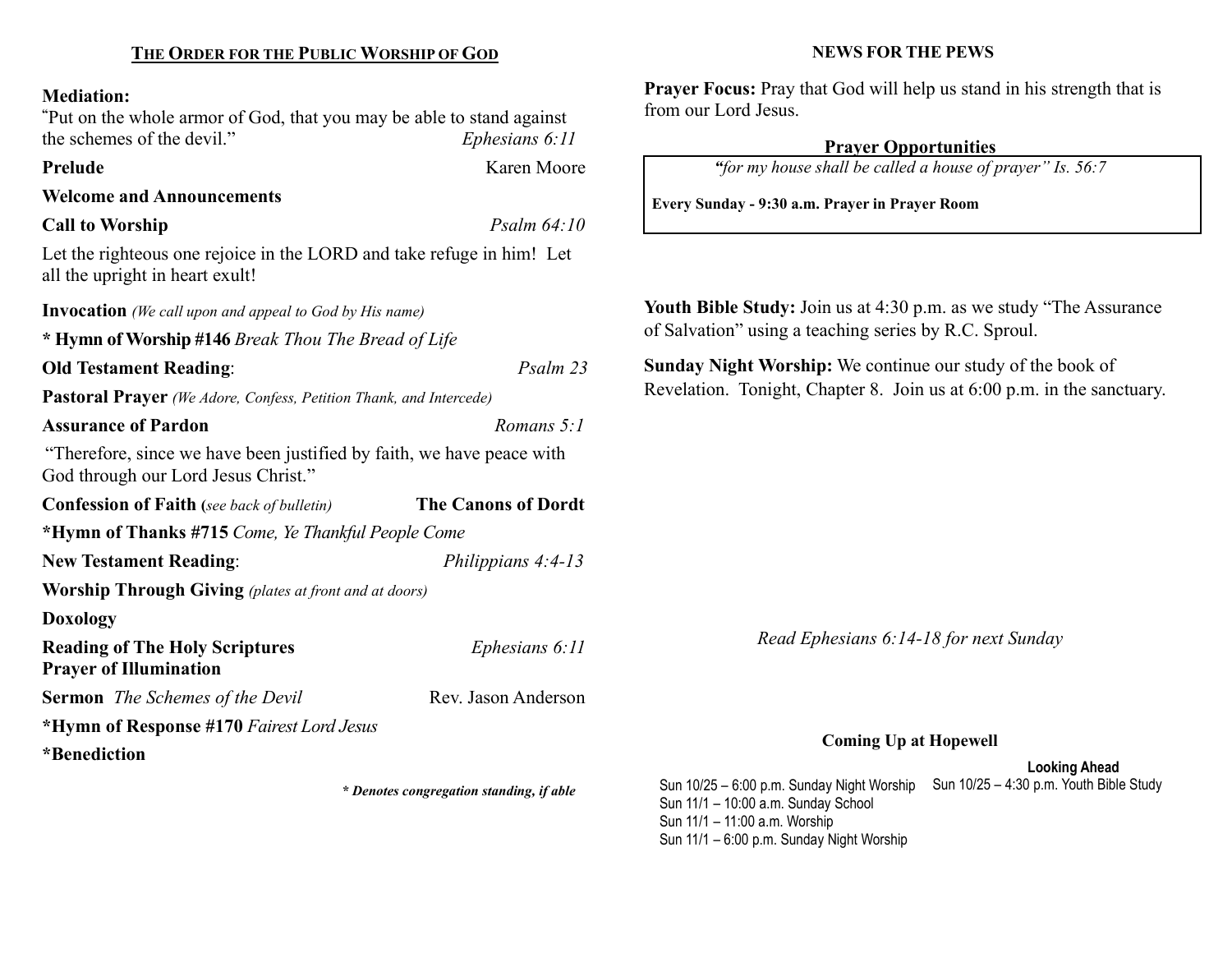#### Mediation:

"Put on the whole armor of God, that you may be able to stand against the schemes of the devil." Ephesians 6:11

# Prelude Karen Moore

# Welcome and Announcements

Call to Worship Psalm 64:10

Let the righteous one rejoice in the LORD and take refuge in him! Let all the upright in heart exult!

**Invocation** (We call upon and appeal to God by His name) \* Hymn of Worship #146 Break Thou The Bread of Life Old Testament Reading: Psalm 23 Pastoral Prayer (We Adore, Confess, Petition Thank, and Intercede) Assurance of Pardon and Romans 5:1 "Therefore, since we have been justified by faith, we have peace with God through our Lord Jesus Christ." Confession of Faith (see back of bulletin) The Canons of Dordt \*Hymn of Thanks #715 Come, Ye Thankful People Come New Testament Reading: *Philippians 4:4-13* Worship Through Giving (plates at front and at doors) Doxology Reading of The Holy Scriptures Ephesians 6:11 Prayer of Illumination Sermon The Schemes of the Devil Rev. Jason Anderson \*Hymn of Response #170 Fairest Lord Jesus

\*Benediction

\* Denotes congregation standing, if able

#### NEWS FOR THE PEWS

**Prayer Focus:** Pray that God will help us stand in his strength that is from our Lord Jesus.

# Prayer Opportunities

"for my house shall be called a house of prayer" Is. 56:7

Every Sunday - 9:30 a.m. Prayer in Prayer Room

Youth Bible Study: Join us at 4:30 p.m. as we study "The Assurance of Salvation" using a teaching series by R.C. Sproul.

Sunday Night Worship: We continue our study of the book of Revelation. Tonight, Chapter 8. Join us at 6:00 p.m. in the sanctuary.

Read Ephesians 6:14-18 for next Sunday

## Coming Up at Hopewell

#### Looking Ahead

Sun 10/25 – 4:30 p.m. Youth Bible Study Sun 10/25 – 6:00 p.m. Sunday Night Worship Sun 11/1 – 10:00 a.m. Sunday School Sun 11/1 – 11:00 a.m. Worship Sun 11/1 – 6:00 p.m. Sunday Night Worship